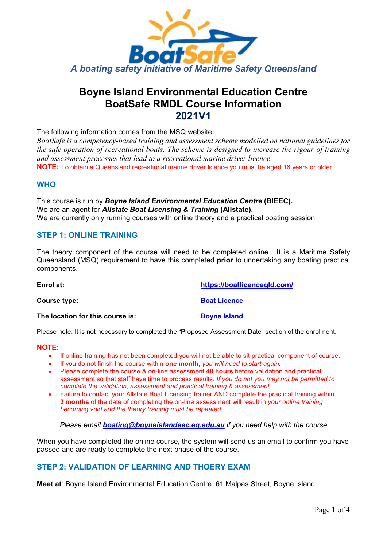

# **Boyne Island Environmental Education Centre BoatSafe RMDL Course Information 2021V1**

The following information comes from the MSQ website:

*BoatSafe is a competency-based training and assessment scheme modelled on national guidelines for the safe operation of recreational boats. The scheme is designed to increase the rigour of training and assessment processes that lead to a recreational marine driver licence.*

**NOTE:** To obtain a Queensland recreational marine driver licence you must be aged 16 years or older.

### **WHO**

This course is run by *Boyne Island Environmental Education Centre* **(BIEEC).** We are an agent for *Allstate Boat Licensing & Training* **(Allstate).** We are currently only running courses with online theory and a practical boating session.

### **STEP 1: ONLINE TRAINING**

The theory component of the course will need to be completed online. It is a Maritime Safety Queensland (MSQ) requirement to have this completed **prior** to undertaking any boating practical components.

**Enrol at: <https://boatlicenceqld.com/> Course type: Boat Licence The location for this course is: Boyne Island** 

Please note: It is not necessary to completed the "Proposed Assessment Date" section of the enrolment**.**

#### **NOTE:**

- If online training has not been completed you will not be able to sit practical component of course.
- If you do not finish the course within **one month**, *you will need to start again.*
- Please complete the course & on-line assessment **48 hours** before validation and practical assessment so that staff have time to process results. *If you do not you may not be permitted to complete the validation, assessment and practical training & assessment.*
- Failure to contact your Allstate Boat Licensing trainer AND complete the practical training within **3 months** of the date of completing the on-line assessment will result in *your online training becoming void and the theory training must be repeated.*

*Please email [boating@boyneislandeec.eq.edu.au](mailto:boating@boyneislandeec.eq.edu.au) if you need help with the course*

When you have completed the online course, the system will send us an email to confirm you have passed and are ready to complete the next phase of the course.

# **STEP 2: VALIDATION OF LEARNING AND THOERY EXAM**

**Meet at**: Boyne Island Environmental Education Centre, 61 Malpas Street, Boyne Island.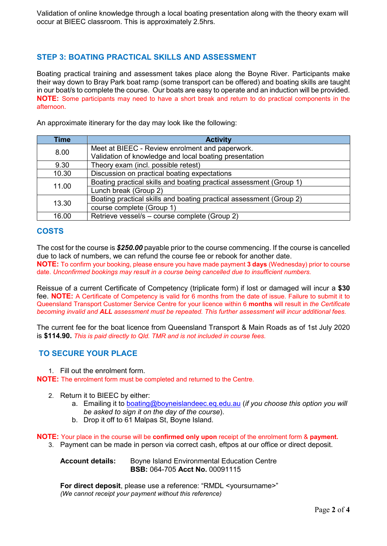Validation of online knowledge through a local boating presentation along with the theory exam will occur at BIEEC classroom. This is approximately 2.5hrs.

# **STEP 3: BOATING PRACTICAL SKILLS AND ASSESSMENT**

Boating practical training and assessment takes place along the Boyne River. Participants make their way down to Bray Park boat ramp (some transport can be offered) and boating skills are taught in our boat/s to complete the course. Our boats are easy to operate and an induction will be provided. **NOTE:** Some participants may need to have a short break and return to do practical components in the afternoon.

An approximate itinerary for the day may look like the following:

| <b>Time</b> | <b>Activity</b>                                                     |
|-------------|---------------------------------------------------------------------|
| 8.00        | Meet at BIEEC - Review enrolment and paperwork.                     |
|             | Validation of knowledge and local boating presentation              |
| 9.30        | Theory exam (incl. possible retest)                                 |
| 10.30       | Discussion on practical boating expectations                        |
| 11.00       | Boating practical skills and boating practical assessment (Group 1) |
|             | Lunch break (Group 2)                                               |
| 13.30       | Boating practical skills and boating practical assessment (Group 2) |
|             | course complete (Group 1)                                           |
| 16.00       | Retrieve vessel/s - course complete (Group 2)                       |

# **COSTS**

The cost for the course is *\$250.00* payable prior to the course commencing. If the course is cancelled due to lack of numbers, we can refund the course fee or rebook for another date.

**NOTE:** To confirm your booking, please ensure you have made payment **3 days** (Wednesday) prior to course date. *Unconfirmed bookings may result in a course being cancelled due to insufficient numbers.*

Reissue of a current Certificate of Competency (triplicate form) if lost or damaged will incur a **\$30**  fee. **NOTE:** A Certificate of Competency is valid for 6 months from the date of issue. Failure to submit it to Queensland Transport Customer Service Centre for your licence within 6 **months** will result in *the Certificate becoming invalid and ALL assessment must be repeated. This further assessment will incur additional fees.*

The current fee for the boat licence from Queensland Transport & Main Roads as of 1st July 2020 is **\$114.90.** *This is paid directly to Qld. TMR and is not included in course fees.*

# **TO SECURE YOUR PLACE**

1. Fill out the enrolment form.

**NOTE:** The enrolment form must be completed and returned to the Centre.

- 2. Return it to BIEEC by either:
	- a. Emailing it to [boating@boyneislandeec.eq.edu.au](mailto:boating@boyneislandeec.eq.edu.au) (*if you choose this option you will be asked to sign it on the day of the course*).
	- b. Drop it off to 61 Malpas St, Boyne Island.

**NOTE:** Your place in the course will be **confirmed only upon** receipt of the enrolment form & **payment.**

3. Payment can be made in person via correct cash, eftpos at our office or direct deposit.

**Account details:** Boyne Island Environmental Education Centre **BSB:** 064-705 **Acct No.** 00091115

**For direct deposit**, please use a reference: "RMDL <yoursurname>" *(We cannot receipt your payment without this reference)*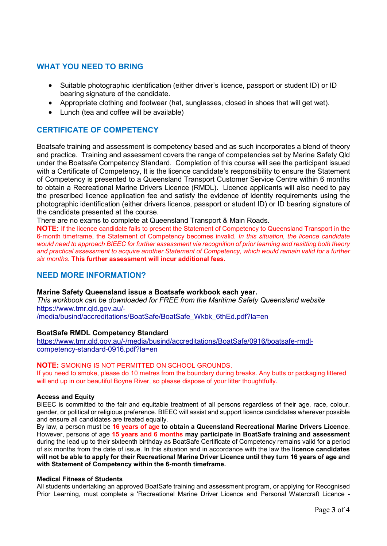# **WHAT YOU NEED TO BRING**

- Suitable photographic identification (either driver's licence, passport or student ID) or ID bearing signature of the candidate.
- Appropriate clothing and footwear (hat, sunglasses, closed in shoes that will get wet).
- Lunch (tea and coffee will be available)

# **CERTIFICATE OF COMPETENCY**

Boatsafe training and assessment is competency based and as such incorporates a blend of theory and practice. Training and assessment covers the range of competencies set by Marine Safety Qld under the Boatsafe Competency Standard. Completion of this course will see the participant issued with a Certificate of Competency, It is the licence candidate's responsibility to ensure the Statement of Competency is presented to a Queensland Transport Customer Service Centre within 6 months to obtain a Recreational Marine Drivers Licence (RMDL). Licence applicants will also need to pay the prescribed licence application fee and satisfy the evidence of identity requirements using the photographic identification (either drivers licence, passport or student ID) or ID bearing signature of the candidate presented at the course.

There are no exams to complete at Queensland Transport & Main Roads.

**NOTE:** If the licence candidate fails to present the Statement of Competency to Queensland Transport in the 6-month timeframe, the Statement of Competency becomes invalid*. In this situation, the licence candidate would need to approach BIEEC for further assessment via recognition of prior learning and resitting both theory and practical assessment to acquire another Statement of Competency, which would remain valid for a further six months*. **This further assessment will incur additional fees.**

## **NEED MORE INFORMATION?**

#### **Marine Safety Queensland issue a Boatsafe workbook each year.**

*This workbook can be downloaded for FREE from the Maritime Safety Queensland website*  https://www.tmr.qld.gov.au/-

/media/busind/accreditations/BoatSafe/BoatSafe\_Wkbk\_6thEd.pdf?la=en

#### **BoatSafe RMDL Competency Standard**

[https://www.tmr.qld.gov.au/-/media/busind/accreditations/BoatSafe/0916/boatsafe-rmdl](https://www.tmr.qld.gov.au/-/media/busind/accreditations/BoatSafe/0916/boatsafe-rmdl-competency-standard-0916.pdf?la=en)[competency-standard-0916.pdf?la=en](https://www.tmr.qld.gov.au/-/media/busind/accreditations/BoatSafe/0916/boatsafe-rmdl-competency-standard-0916.pdf?la=en)

#### **NOTE:** SMOKING IS NOT PERMITTED ON SCHOOL GROUNDS.

If you need to smoke, please do 10 metres from the boundary during breaks. Any butts or packaging littered will end up in our beautiful Boyne River, so please dispose of your litter thoughtfully.

#### **Access and Equity**

BIEEC is committed to the fair and equitable treatment of all persons regardless of their age, race, colour, gender, or political or religious preference. BIEEC will assist and support licence candidates wherever possible and ensure all candidates are treated equally.

By law, a person must be **16 years of age to obtain a Queensland Recreational Marine Drivers Licence**. However, persons of age **15 years and 6 months may participate in BoatSafe training and assessment**  during the lead up to their sixteenth birthday as BoatSafe Certificate of Competency remains valid for a period of six months from the date of issue. In this situation and in accordance with the law the **licence candidates will not be able to apply for their Recreational Marine Driver Licence until they turn 16 years of age and with Statement of Competency within the 6-month timeframe.**

#### **Medical Fitness of Students**

All students undertaking an approved BoatSafe training and assessment program, or applying for Recognised Prior Learning, must complete a 'Recreational Marine Driver Licence and Personal Watercraft Licence -